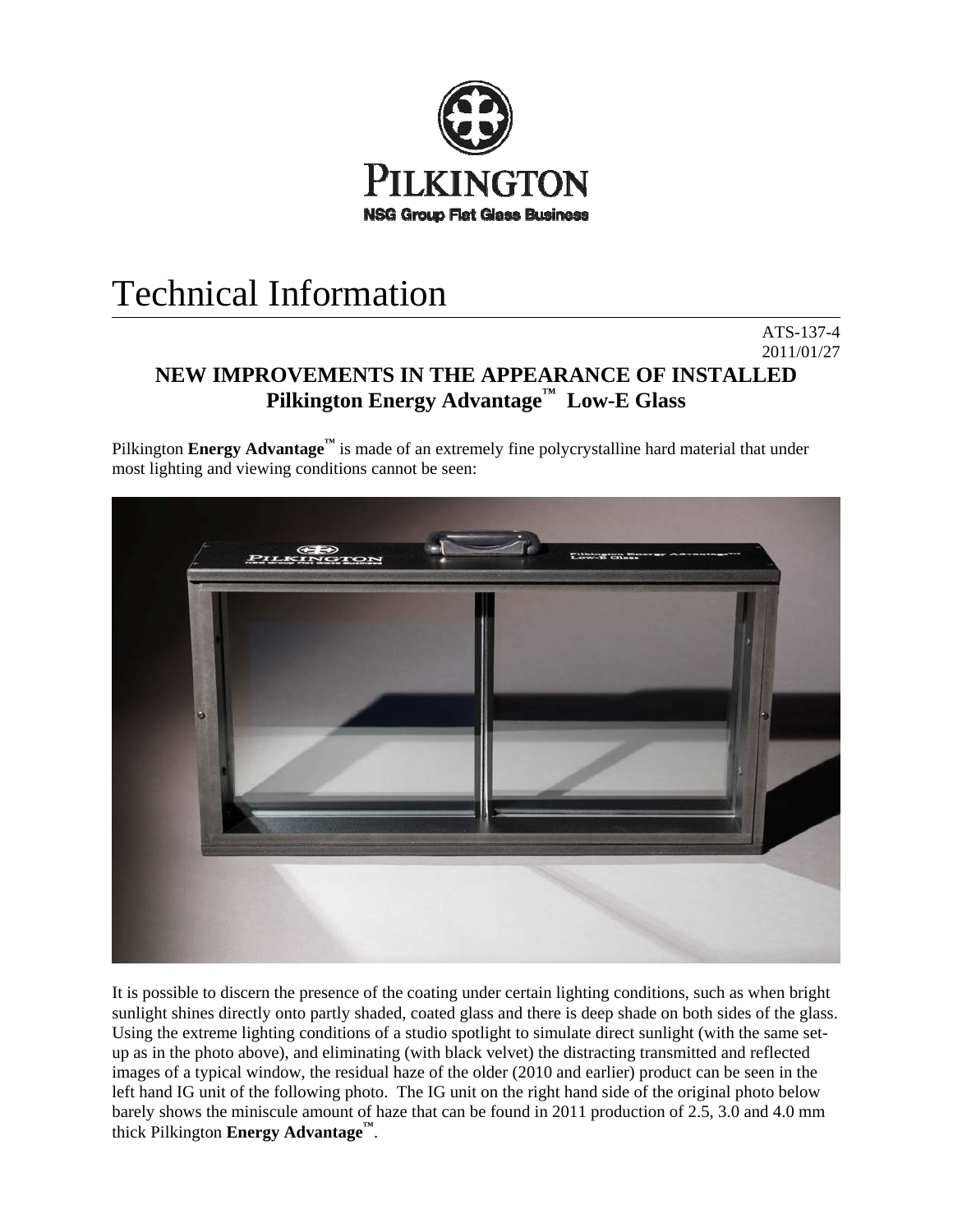

## Technical Information

## 2011/01/27 **NEW IMPROVEMENTS IN THE APPEARANCE OF INSTALLED Pilkington Energy Advantage™ Low-E Glass**

ATS-137-4

Pilkington **Energy Advantage™** is made of an extremely fine polycrystalline hard material that under most lighting and viewing conditions cannot be seen:



It is possible to discern the presence of the coating under certain lighting conditions, such as when bright sunlight shines directly onto partly shaded, coated glass and there is deep shade on both sides of the glass. Using the extreme lighting conditions of a studio spotlight to simulate direct sunlight (with the same setup as in the photo above), and eliminating (with black velvet) the distracting transmitted and reflected images of a typical window, the residual haze of the older (2010 and earlier) product can be seen in the left hand IG unit of the following photo. The IG unit on the right hand side of the original photo below barely shows the miniscule amount of haze that can be found in 2011 production of 2.5, 3.0 and 4.0 mm thick Pilkington **Energy Advantage™**.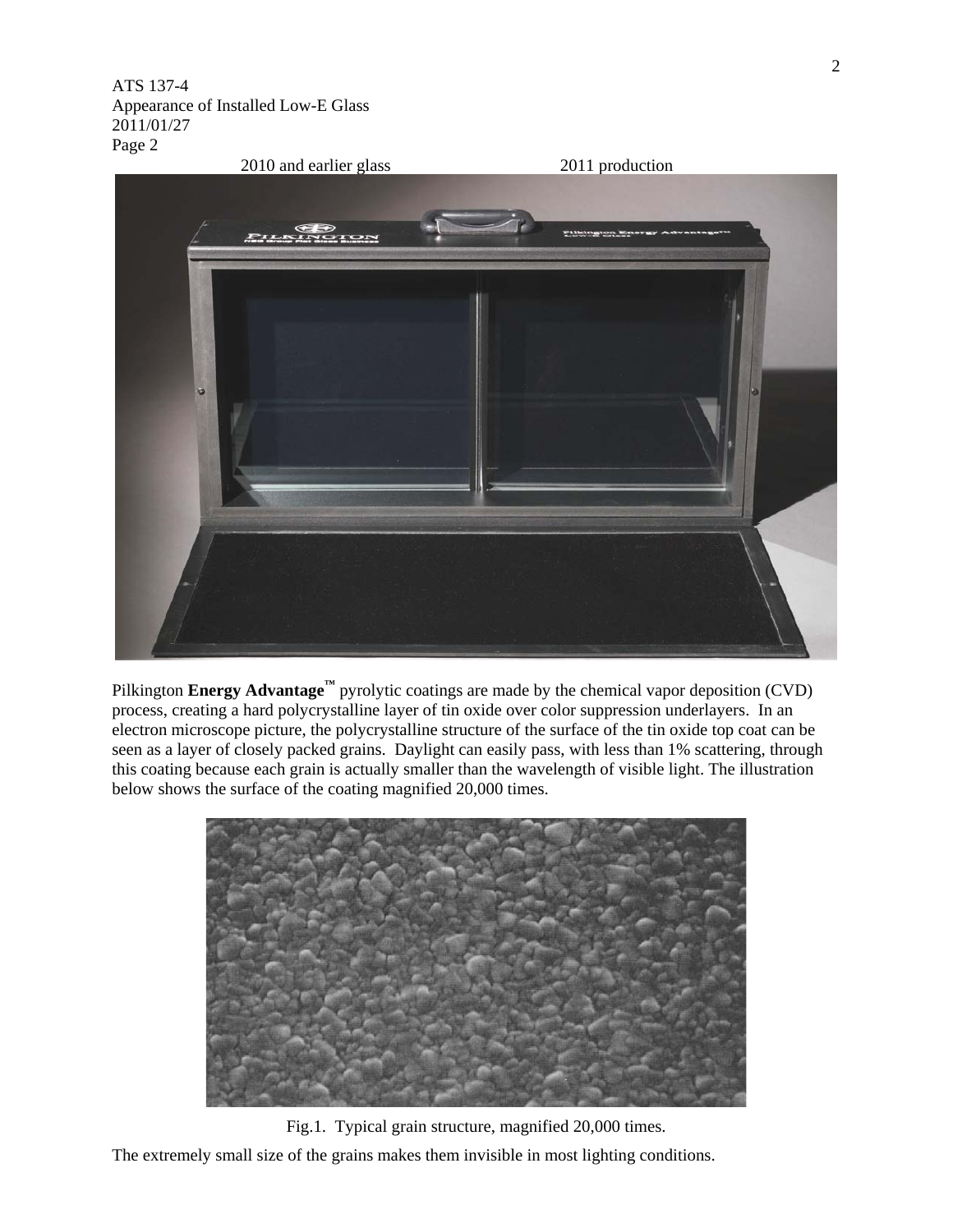

Pilkington **Energy Advantage™** pyrolytic coatings are made by the chemical vapor deposition (CVD) process, creating a hard polycrystalline layer of tin oxide over color suppression underlayers. In an electron microscope picture, the polycrystalline structure of the surface of the tin oxide top coat can be seen as a layer of closely packed grains. Daylight can easily pass, with less than 1% scattering, through this coating because each grain is actually smaller than the wavelength of visible light. The illustration below shows the surface of the coating magnified 20,000 times.



Fig.1. Typical grain structure, magnified 20,000 times. The extremely small size of the grains makes them invisible in most lighting conditions.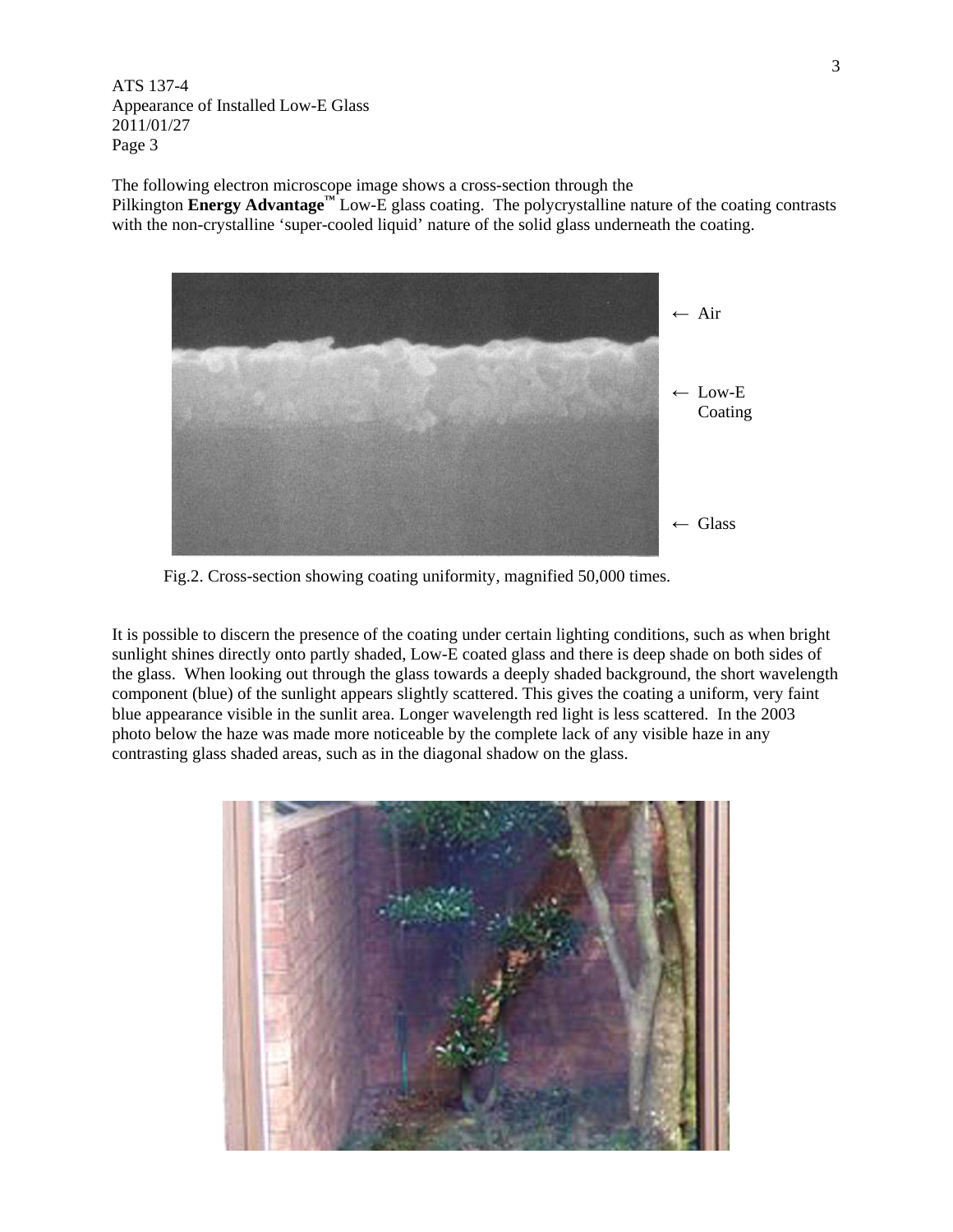The following electron microscope image shows a cross-section through the Pilkington **Energy Advantage™** Low-E glass coating. The polycrystalline nature of the coating contrasts with the non-crystalline 'super-cooled liquid' nature of the solid glass underneath the coating.



Fig.2. Cross-section showing coating uniformity, magnified 50,000 times.

It is possible to discern the presence of the coating under certain lighting conditions, such as when bright sunlight shines directly onto partly shaded, Low-E coated glass and there is deep shade on both sides of the glass. When looking out through the glass towards a deeply shaded background, the short wavelength component (blue) of the sunlight appears slightly scattered. This gives the coating a uniform, very faint blue appearance visible in the sunlit area. Longer wavelength red light is less scattered. In the 2003 photo below the haze was made more noticeable by the complete lack of any visible haze in any contrasting glass shaded areas, such as in the diagonal shadow on the glass.

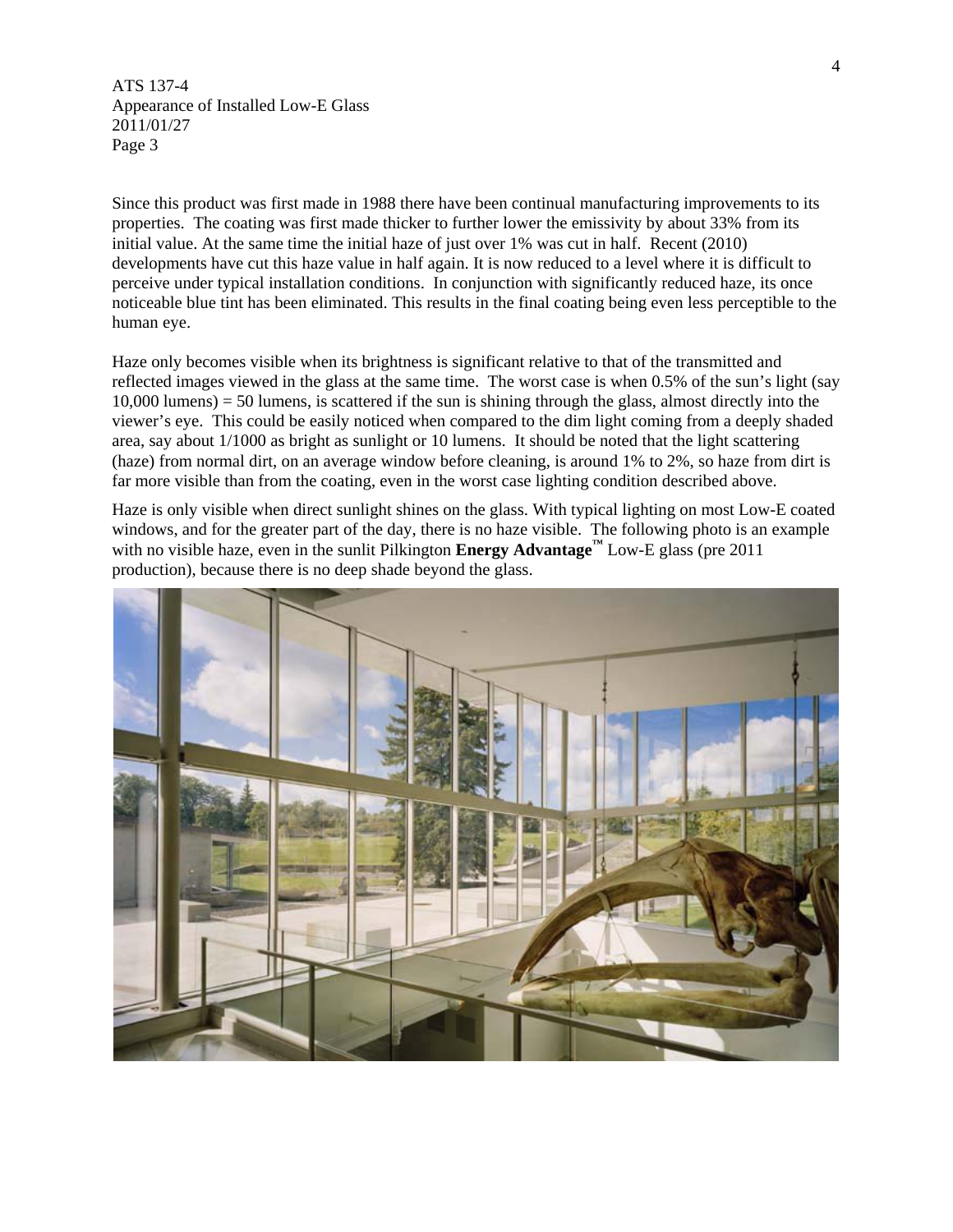Since this product was first made in 1988 there have been continual manufacturing improvements to its properties. The coating was first made thicker to further lower the emissivity by about 33% from its initial value. At the same time the initial haze of just over 1% was cut in half. Recent (2010) developments have cut this haze value in half again. It is now reduced to a level where it is difficult to perceive under typical installation conditions. In conjunction with significantly reduced haze, its once noticeable blue tint has been eliminated. This results in the final coating being even less perceptible to the human eye.

Haze only becomes visible when its brightness is significant relative to that of the transmitted and reflected images viewed in the glass at the same time. The worst case is when 0.5% of the sun's light (say  $10,000$  lumens) = 50 lumens, is scattered if the sun is shining through the glass, almost directly into the viewer's eye. This could be easily noticed when compared to the dim light coming from a deeply shaded area, say about 1/1000 as bright as sunlight or 10 lumens. It should be noted that the light scattering (haze) from normal dirt, on an average window before cleaning, is around 1% to 2%, so haze from dirt is far more visible than from the coating, even in the worst case lighting condition described above.

Haze is only visible when direct sunlight shines on the glass. With typical lighting on most Low-E coated windows, and for the greater part of the day, there is no haze visible. The following photo is an example with no visible haze, even in the sunlit Pilkington **Energy Advantage™** Low-E glass (pre 2011 production), because there is no deep shade beyond the glass.

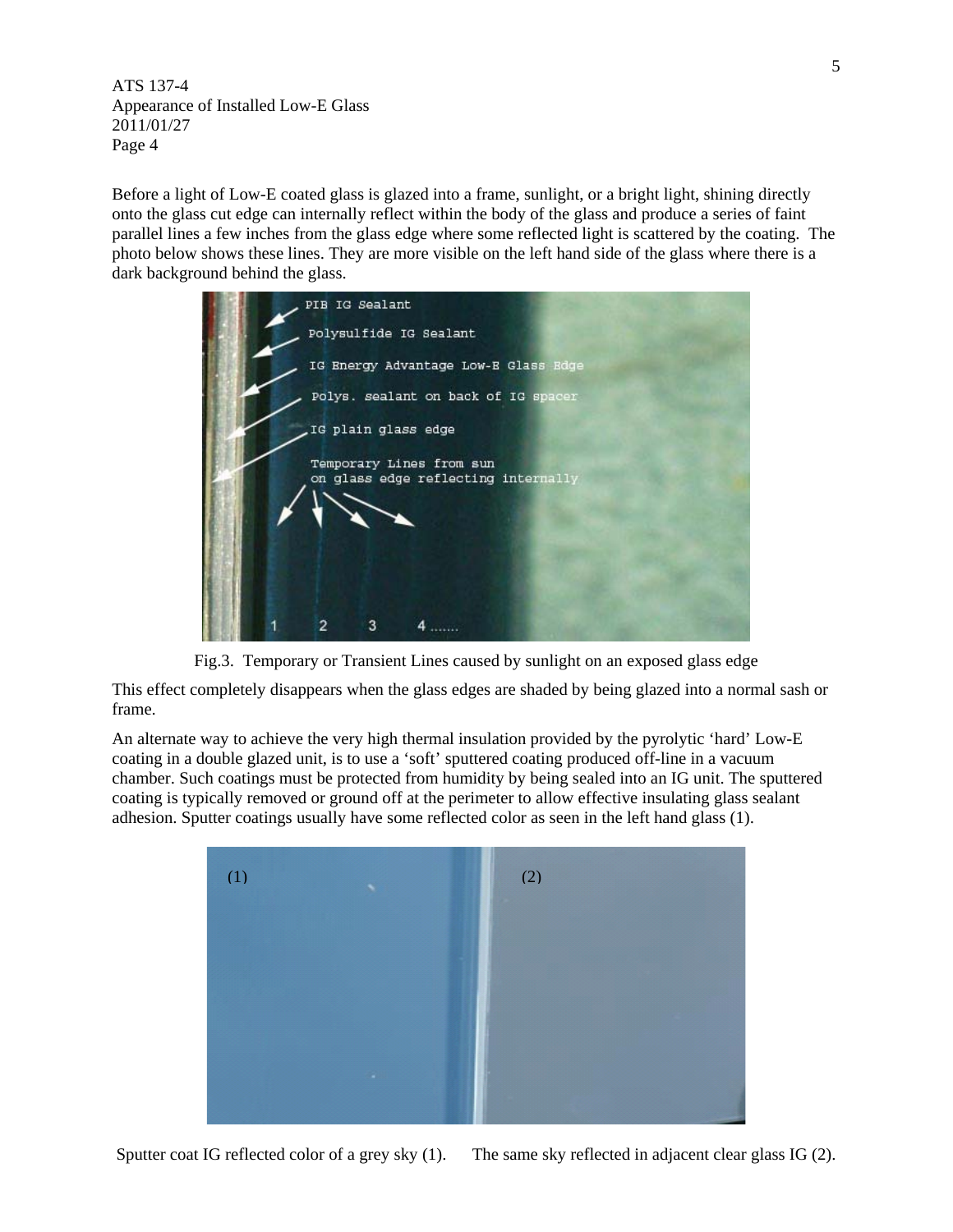Before a light of Low-E coated glass is glazed into a frame, sunlight, or a bright light, shining directly onto the glass cut edge can internally reflect within the body of the glass and produce a series of faint parallel lines a few inches from the glass edge where some reflected light is scattered by the coating. The photo below shows these lines. They are more visible on the left hand side of the glass where there is a dark background behind the glass.



Fig.3. Temporary or Transient Lines caused by sunlight on an exposed glass edge

This effect completely disappears when the glass edges are shaded by being glazed into a normal sash or frame.

An alternate way to achieve the very high thermal insulation provided by the pyrolytic 'hard' Low-E coating in a double glazed unit, is to use a 'soft' sputtered coating produced off-line in a vacuum chamber. Such coatings must be protected from humidity by being sealed into an IG unit. The sputtered coating is typically removed or ground off at the perimeter to allow effective insulating glass sealant adhesion. Sputter coatings usually have some reflected color as seen in the left hand glass (1).



Sputter coat IG reflected color of a grey sky (1). The same sky reflected in adjacent clear glass IG (2).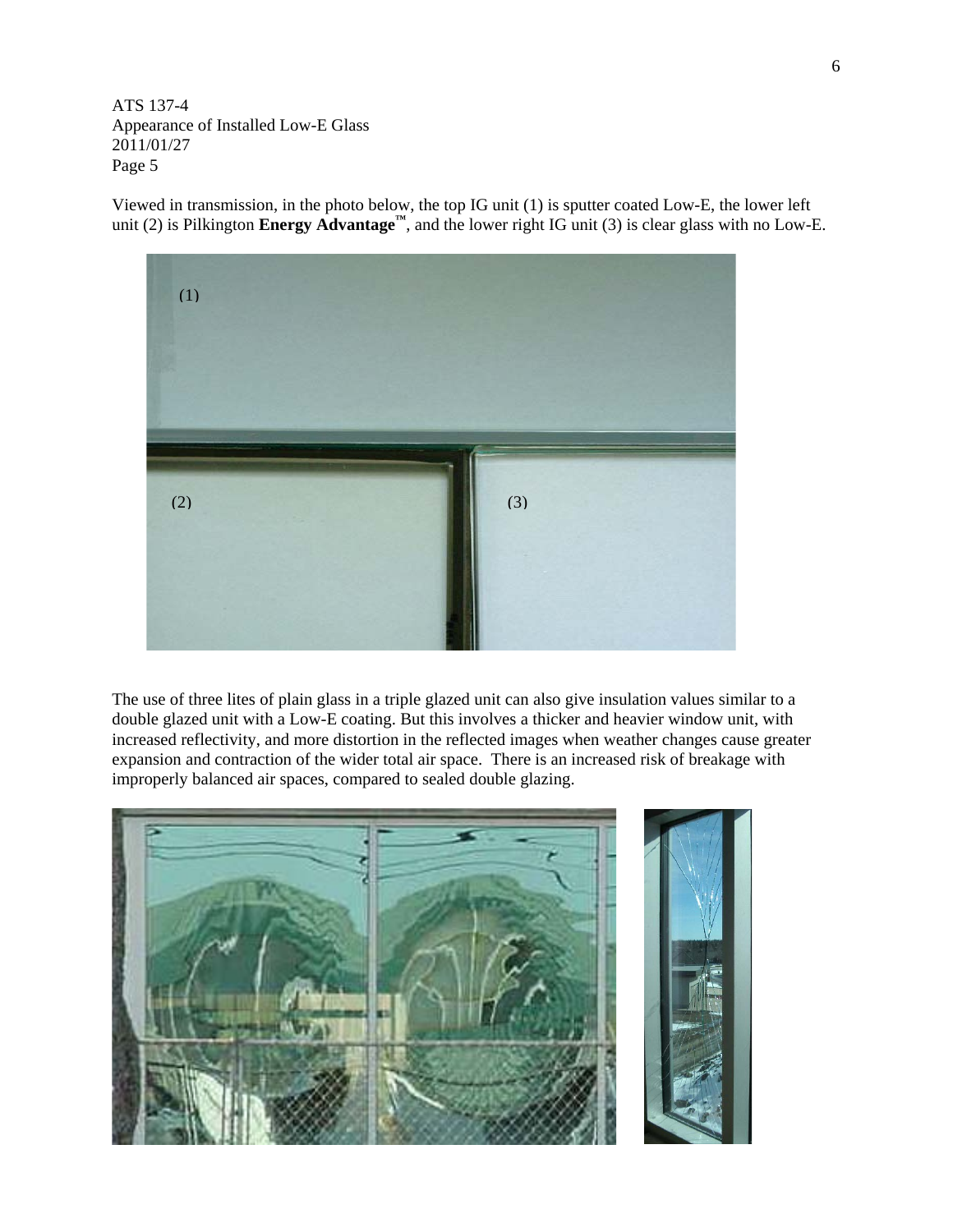Viewed in transmission, in the photo below, the top IG unit (1) is sputter coated Low-E, the lower left unit (2) is Pilkington **Energy Advantage™**, and the lower right IG unit (3) is clear glass with no Low-E.



The use of three lites of plain glass in a triple glazed unit can also give insulation values similar to a double glazed unit with a Low-E coating. But this involves a thicker and heavier window unit, with increased reflectivity, and more distortion in the reflected images when weather changes cause greater expansion and contraction of the wider total air space. There is an increased risk of breakage with improperly balanced air spaces, compared to sealed double glazing.